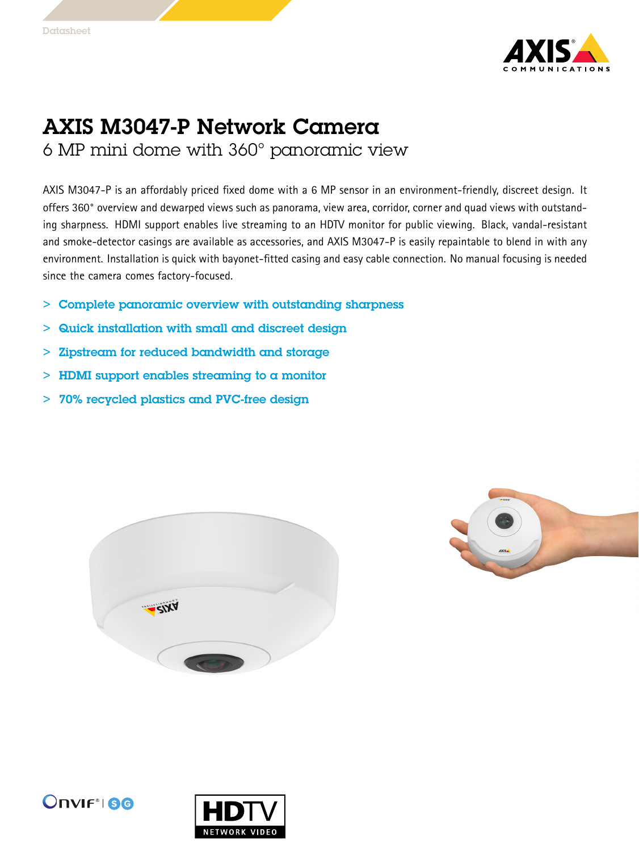

## AXIS M3047-P Network Camera 6 MP mini dome with 360° panoramic view

AXIS M3047-P is an affordably priced fixed dome with <sup>a</sup> 6 MP sensor in an environment-friendly, discreet design. It offers 360° overview and dewarped views such as panorama, view area, corridor, corner and quad views with outstanding sharpness. HDMI support enables live streaming to an HDTV monitor for public viewing. Black, vandal-resistant and smoke-detector casings are available as accessories, and AXIS M3047-P is easily repaintable to blend in with any environment. Installation is quick with bayonet-fitted casing and easy cable connection. No manual focusing is needed since the camera comes factory-focused.

- $>$ Complete panoramic overview with outstanding sharpness
- > Quick installation with small and discreet design
- $>$ Zipstream for reduced bandwidth and storage
- $>$  HDMI support enables streaming to a monitor
- > 70% recycled plastics and PVC-free design